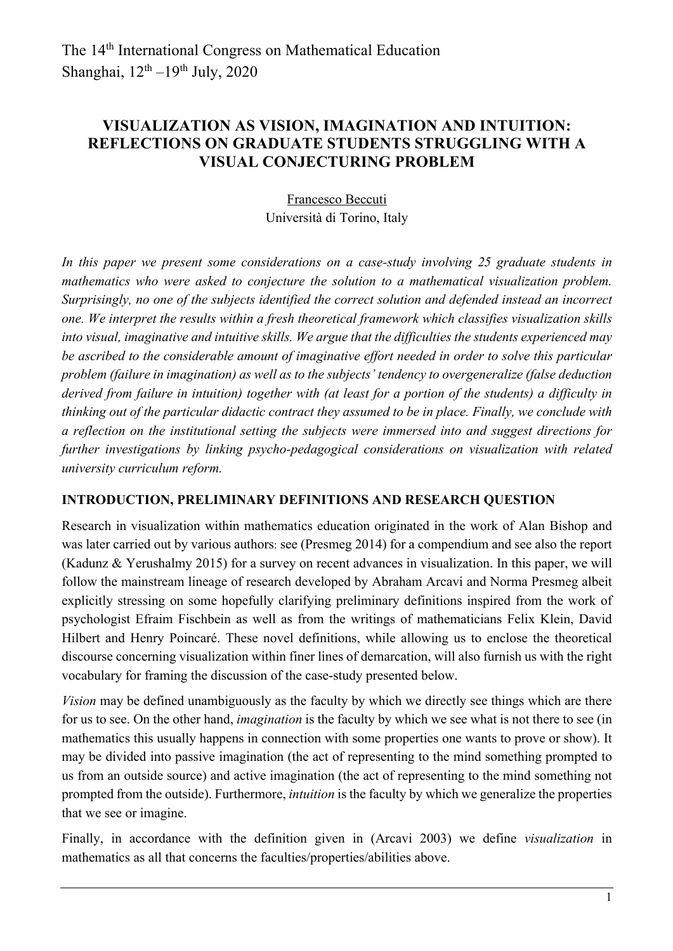# **VISUALIZATION AS VISION, IMAGINATION AND INTUITION: REFLECTIONS ON GRADUATE STUDENTS STRUGGLING WITH A VISUAL CONJECTURING PROBLEM**

Francesco Beccuti Università di Torino, Italy

*In this paper we present some considerations on a case-study involving 78 graduate students in mathematics who were asked to conjecture the solution to a mathematical visualization problem. Surprisingly, no one of the subjects identified the correct solution and defended instead an incorrect one. We interpret the results within a fresh theoretical framework which classifies visualization skills into visual, imaginative and intuitive skills. We argue that the difficulties the students experienced may be ascribed to the considerable amount of imaginative effort needed in order to solve this particular problem (failure in imagination) as well as to the subjects' tendency to overgeneralize (false deduction derived from failure in intuition) together with (at least for a portion of the students) a difficulty in thinking out of the particular didactic contract they assumed to be in place. Finally, we conclude with a reflection on the institutional setting the subjects were immersed into and suggest directions for further investigations by linking psycho-pedagogical considerations on visualization with related university curriculum reform.*

### **INTRODUCTION, PRELIMINARY DEFINITIONS AND RESEARCH QUESTION**

Research in visualization within mathematics education originated in the work of Alan Bishop and was later carried out by various authors: see (Presmeg 2014) for a compendium and see also the report (Kadunz & Yerushalmy 2015) for a survey on recent advances in visualization. In this paper, we will follow the mainstream lineage of research developed by Abraham Arcavi and Norma Presmeg albeit explicitly stressing on some hopefully clarifying preliminary definitions inspired from the work of psychologist Efraim Fischbein as well as from the writings of mathematicians Felix Klein, David Hilbert and Henry Poincaré. These novel definitions, while allowing us to enclose the theoretical discourse concerning visualization within finer lines of demarcation, will also furnish us with the right vocabulary for framing the discussion of the case-study presented below.

*Vision* may be defined unambiguously as the faculty by which we directly see things which are there for us to see. On the other hand, *imagination* is the faculty by which we see what is not there to see (in mathematics this usually happens in connection with some properties one wants to prove or show). It may be divided into passive imagination (the act of representing to the mind something prompted to us from an outside source) and active imagination (the act of representing to the mind something not prompted from the outside). Furthermore, *intuition* is the faculty by which we generalize the properties that we see or imagine.

Finally, in accordance with the definition given in (Arcavi 2003) we define *visualization* in mathematics as all that concerns the faculties/properties/abilities above.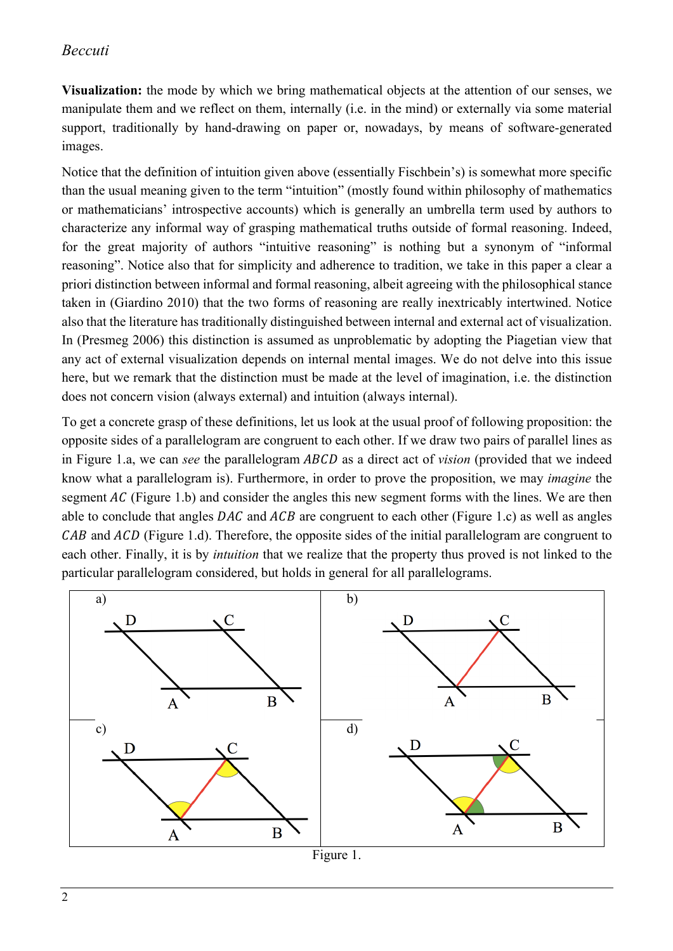## *Beccuti*

**Visualization:** the mode by which we bring mathematical objects at the attention of our senses, we manipulate them and we reflect on them, internally (i.e. in the mind) or externally via some material support, traditionally by hand-drawing on paper or, nowadays, by means of software-generated images.

Notice that the definition of intuition given above (essentially Fischbein's) is somewhat more specific than the usual meaning given to the term "intuition" (mostly found within philosophy of mathematics or mathematicians' introspective accounts) which is generally an umbrella term used by authors to characterize any informal way of grasping mathematical truths outside of formal reasoning. Indeed, for the great majority of authors "intuitive reasoning" is nothing but a synonym of "informal reasoning". Notice also that for simplicity and adherence to tradition, we take in this paper a clear a priori distinction between informal and formal reasoning, albeit agreeing with the philosophical stance taken in (Giardino 2010) that the two forms of reasoning are really inextricably intertwined. Notice also that the literature has traditionally distinguished between internal and external act of visualization. In (Presmeg 2006) this distinction is assumed as unproblematic by adopting the Piagetian view that any act of external visualization depends on internal mental images. We do not delve into this issue here, but we remark that the distinction must be made at the level of imagination, i.e. the distinction does not concern vision (always external) and intuition (always internal).

To get a concrete grasp of these definitions, let us look at the usual proof of following proposition: the opposite sides of a parallelogram are congruent to each other. If we draw two pairs of parallel lines as in Figure 1.a, we can *see* the parallelogram *ABCD* as a direct act of *vision* (provided that we indeed know what a parallelogram is). Furthermore, in order to prove the proposition, we may *imagine* the segment  $AC$  (Figure 1.b) and consider the angles this new segment forms with the lines. We are then able to conclude that angles  $DAC$  and  $ACB$  are congruent to each other (Figure 1.c) as well as angles  $CAB$  and  $ACD$  (Figure 1.d). Therefore, the opposite sides of the initial parallelogram are congruent to each other. Finally, it is by *intuition* that we realize that the property thus proved is not linked to the particular parallelogram considered, but holds in general for all parallelograms.

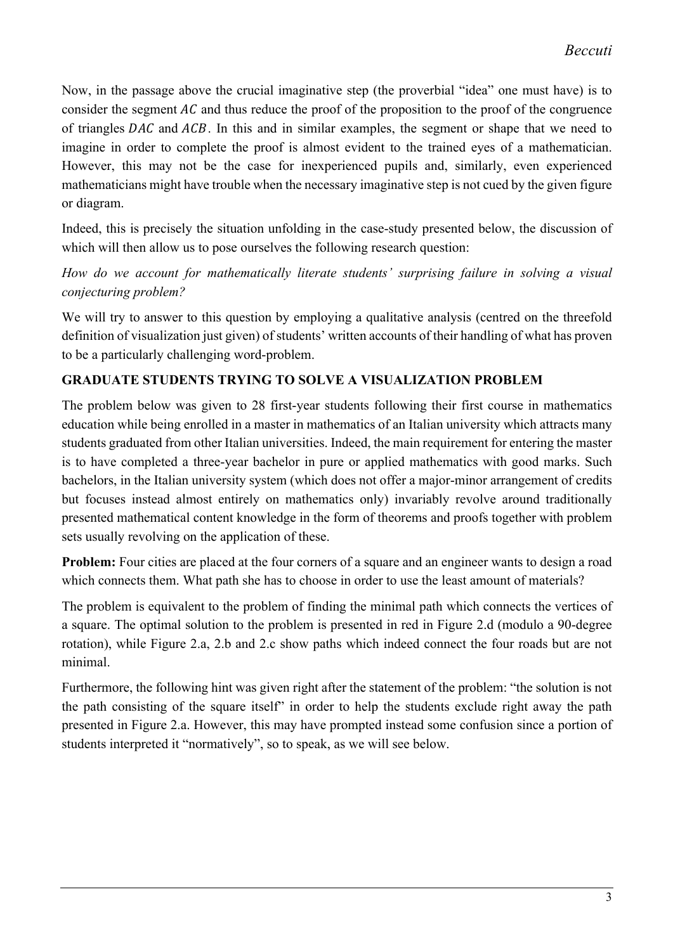Now, in the passage above the crucial imaginative step (the proverbial "idea" one must have) is to consider the segment  $AC$  and thus reduce the proof of the proposition to the proof of the congruence of triangles  $DAC$  and  $ACB$ . In this and in similar examples, the segment or shape that we need to imagine in order to complete the proof is almost evident to the trained eyes of a mathematician. However, this may not be the case for inexperienced pupils and, similarly, even experienced mathematicians might have trouble when the necessary imaginative step is not cued by the given figure or diagram.

Indeed, this is precisely the situation unfolding in the case-study presented below, the discussion of which will then allow us to pose ourselves the following research question:

*How do we account for mathematically literate students' surprising failure in solving a visual conjecturing problem?*

We will try to answer to this question by employing a qualitative analysis (centred on the threefold definition of visualization just given) of students' written accounts of their handling of what has proven to be a particularly challenging word-problem.

## **GRADUATE STUDENTS TRYING TO SOLVE A VISUALIZATION PROBLEM**

The problem below was given to 28 first-year students following their first course in mathematics education while being enrolled in a master in mathematics of an Italian university which attracts many students graduated from other Italian universities. Indeed, the main requirement for entering the master is to have completed a three-year bachelor in pure or applied mathematics with good marks. Such bachelors, in the Italian university system (which does not offer a major-minor arrangement of credits but focuses instead almost entirely on mathematics only) invariably revolve around traditionally presented mathematical content knowledge in the form of theorems and proofs together with problem sets usually revolving on the application of these.

**Problem:** Four cities are placed at the four corners of a square and an engineer wants to design a road which connects them. What path she has to choose in order to use the least amount of materials?

The problem is equivalent to the problem of finding the minimal path which connects the vertices of a square. The optimal solution to the problem is presented in red in Figure 2.d (modulo a 90-degree rotation), while Figure 2.a, 2.b and 2.c show paths which indeed connect the four roads but are not minimal.

Furthermore, the following hint was given right after the statement of the problem: "the solution is not the path consisting of the square itself" in order to help the students exclude right away the path presented in Figure 2.a. However, this may have prompted instead some confusion since a portion of students interpreted it "normatively", so to speak, as we will see below.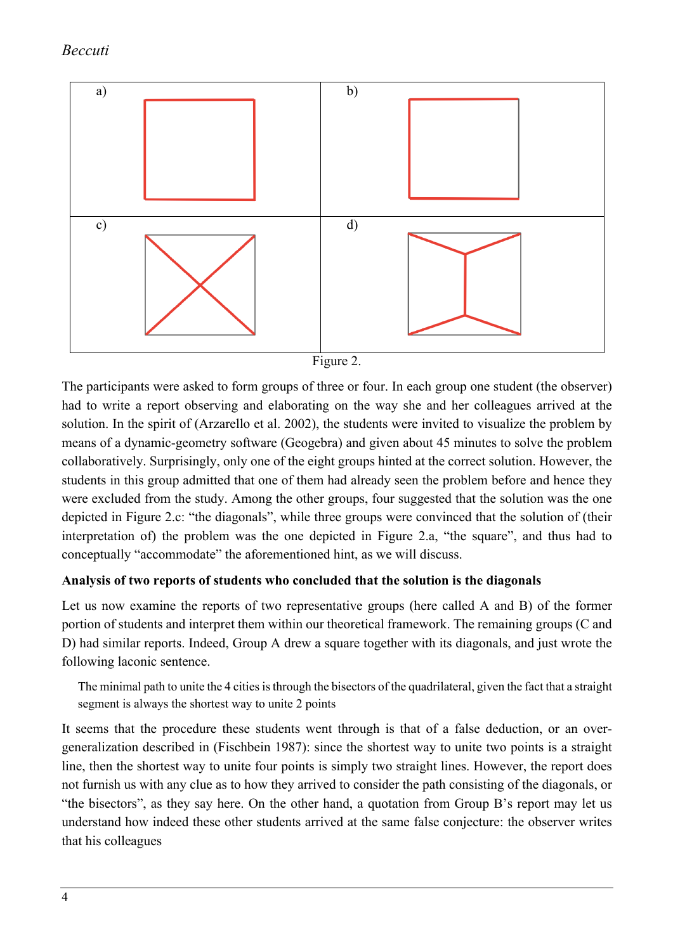





The participants were asked to form groups of three or four. In each group one student (the observer) had to write a report observing and elaborating on the way she and her colleagues arrived at the solution. In the spirit of (Arzarello et al. 2002), the students were invited to visualize the problem by means of a dynamic-geometry software (Geogebra) and given about 45 minutes to solve the problem collaboratively. Surprisingly, only one of the eight groups hinted at the correct solution. However, the students in this group admitted that one of them had already seen the problem before and hence they were excluded from the study. Among the other groups, four suggested that the solution was the one depicted in Figure 2.c: "the diagonals", while three groups were convinced that the solution of (their interpretation of) the problem was the one depicted in Figure 2.a, "the square", and thus had to conceptually "accommodate" the aforementioned hint, as we will discuss.

#### **Analysis of two reports of students who concluded that the solution is the diagonals**

Let us now examine the reports of two representative groups (here called A and B) of the former portion of students and interpret them within our theoretical framework. The remaining groups (C and D) had similar reports. Indeed, Group A drew a square together with its diagonals, and just wrote the following laconic sentence.

The minimal path to unite the 4 cities is through the bisectors of the quadrilateral, given the fact that a straight segment is always the shortest way to unite 2 points

It seems that the procedure these students went through is that of a false deduction, or an overgeneralization described in (Fischbein 1987): since the shortest way to unite two points is a straight line, then the shortest way to unite four points is simply two straight lines. However, the report does not furnish us with any clue as to how they arrived to consider the path consisting of the diagonals, or "the bisectors", as they say here. On the other hand, a quotation from Group B's report may let us understand how indeed these other students arrived at the same false conjecture: the observer writes that his colleagues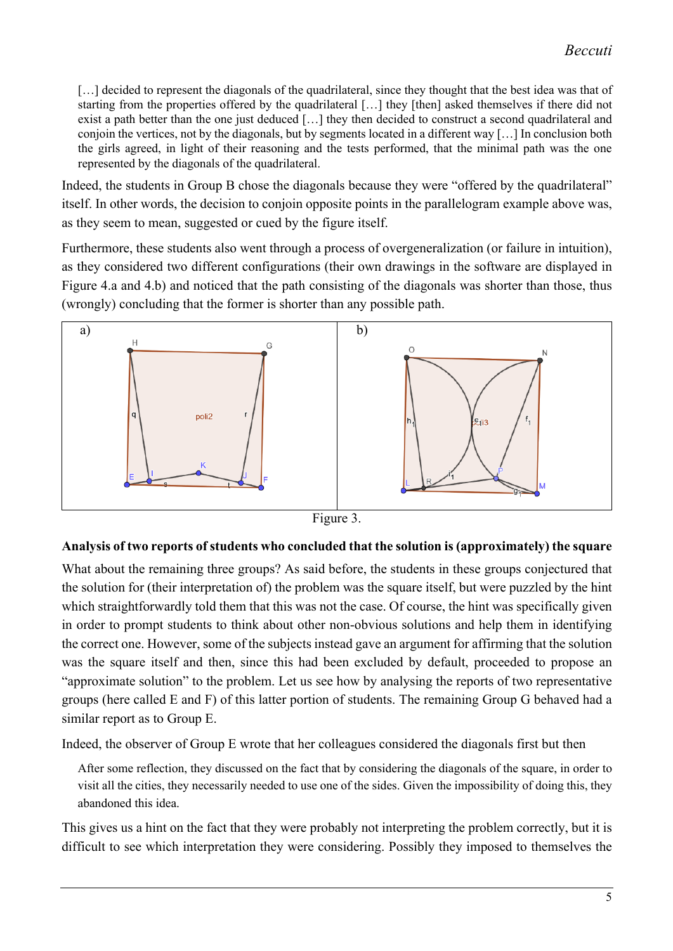[...] decided to represent the diagonals of the quadrilateral, since they thought that the best idea was that of starting from the properties offered by the quadrilateral […] they [then] asked themselves if there did not exist a path better than the one just deduced […] they then decided to construct a second quadrilateral and conjoin the vertices, not by the diagonals, but by segments located in a different way […] In conclusion both the girls agreed, in light of their reasoning and the tests performed, that the minimal path was the one represented by the diagonals of the quadrilateral.

Indeed, the students in Group B chose the diagonals because they were "offered by the quadrilateral" itself. In other words, the decision to conjoin opposite points in the parallelogram example above was, as they seem to mean, suggested or cued by the figure itself.

Furthermore, these students also went through a process of overgeneralization (or failure in intuition), as they considered two different configurations (their own drawings in the software are displayed in Figure 4.a and 4.b) and noticed that the path consisting of the diagonals was shorter than those, thus (wrongly) concluding that the former is shorter than any possible path.





#### **Analysis of two reports of students who concluded that the solution is (approximately) the square**

What about the remaining three groups? As said before, the students in these groups conjectured that the solution for (their interpretation of) the problem was the square itself, but were puzzled by the hint which straightforwardly told them that this was not the case. Of course, the hint was specifically given in order to prompt students to think about other non-obvious solutions and help them in identifying the correct one. However, some of the subjects instead gave an argument for affirming that the solution was the square itself and then, since this had been excluded by default, proceeded to propose an "approximate solution" to the problem. Let us see how by analysing the reports of two representative groups (here called E and F) of this latter portion of students. The remaining Group G behaved had a similar report as to Group E.

Indeed, the observer of Group E wrote that her colleagues considered the diagonals first but then

After some reflection, they discussed on the fact that by considering the diagonals of the square, in order to visit all the cities, they necessarily needed to use one of the sides. Given the impossibility of doing this, they abandoned this idea.

This gives us a hint on the fact that they were probably not interpreting the problem correctly, but it is difficult to see which interpretation they were considering. Possibly they imposed to themselves the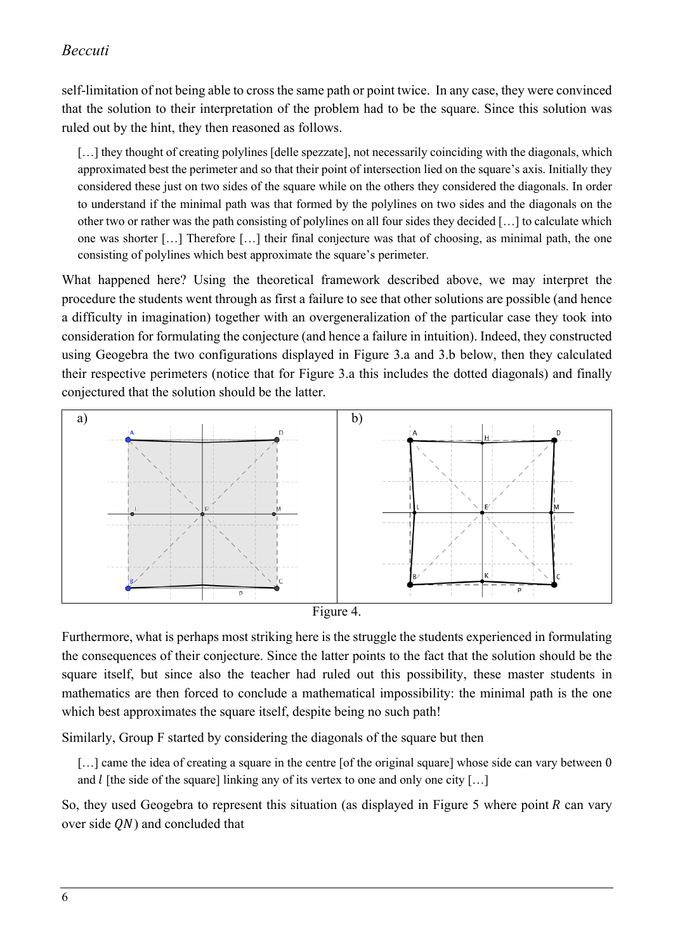# *Beccuti*

self-limitation of not being able to cross the same path or point twice. In any case, they were convinced that the solution to their interpretation of the problem had to be the square. Since this solution was ruled out by the hint, they then reasoned as follows.

[...] they thought of creating polylines [delle spezzate], not necessarily coinciding with the diagonals, which approximated best the perimeter and so that their point of intersection lied on the square's axis. Initially they considered these just on two sides of the square while on the others they considered the diagonals. In order to understand if the minimal path was that formed by the polylines on two sides and the diagonals on the other two or rather was the path consisting of polylines on all four sides they decided […] to calculate which one was shorter […] Therefore […] their final conjecture was that of choosing, as minimal path, the one consisting of polylines which best approximate the square's perimeter.

What happened here? Using the theoretical framework described above, we may interpret the procedure the students went through as first a failure to see that other solutions are possible (and hence a difficulty in imagination) together with an overgeneralization of the particular case they took into consideration for formulating the conjecture (and hence a failure in intuition). Indeed, they constructed using Geogebra the two configurations displayed in Figure 3.a and 3.b below, then they calculated their respective perimeters (notice that for Figure 3.a this includes the dotted diagonals) and finally conjectured that the solution should be the latter.





Furthermore, what is perhaps most striking here is the struggle the students experienced in formulating the consequences of their conjecture. Since the latter points to the fact that the solution should be the square itself, but since also the teacher had ruled out this possibility, these master students in mathematics are then forced to conclude a mathematical impossibility: the minimal path is the one which best approximates the square itself, despite being no such path!

Similarly, Group F started by considering the diagonals of the square but then

[...] came the idea of creating a square in the centre [of the original square] whose side can vary between 0 and  $l$  [the side of the square] linking any of its vertex to one and only one city [...]

So, they used Geogebra to represent this situation (as displayed in Figure 5 where point  $R$  can vary over side  $ON$ ) and concluded that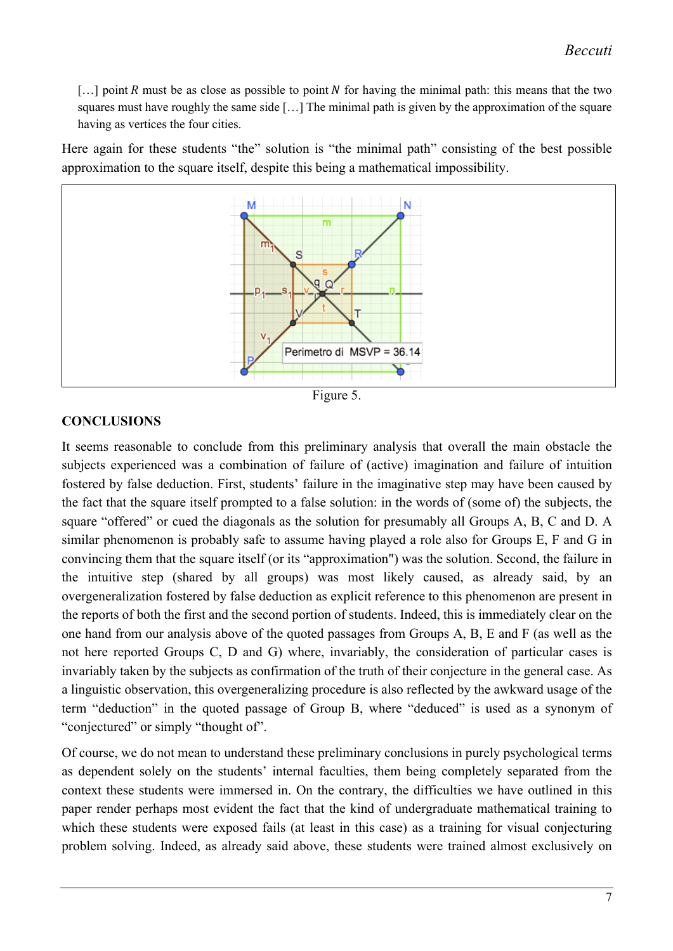*Beccuti*

 $\lceil \ldots \rceil$  point R must be as close as possible to point N for having the minimal path: this means that the two squares must have roughly the same side […] The minimal path is given by the approximation of the square having as vertices the four cities.

Here again for these students "the" solution is "the minimal path" consisting of the best possible approximation to the square itself, despite this being a mathematical impossibility.





#### **CONCLUSIONS**

It seems reasonable to conclude from this preliminary analysis that overall the main obstacle the subjects experienced was a combination of failure of (active) imagination and failure of intuition fostered by false deduction. First, students' failure in the imaginative step may have been caused by the fact that the square itself prompted to a false solution: in the words of (some of) the subjects, the square "offered" or cued the diagonals as the solution for presumably all Groups A, B, C and D. A similar phenomenon is probably safe to assume having played a role also for Groups E, F and G in convincing them that the square itself (or its "approximation") was the solution. Second, the failure in the intuitive step (shared by all groups) was most likely caused, as already said, by an overgeneralization fostered by false deduction as explicit reference to this phenomenon are present in the reports of both the first and the second portion of students. Indeed, this is immediately clear on the one hand from our analysis above of the quoted passages from Groups A, B, E and F (as well as the not here reported Groups C, D and G) where, invariably, the consideration of particular cases is invariably taken by the subjects as confirmation of the truth of their conjecture in the general case. As a linguistic observation, this overgeneralizing procedure is also reflected by the awkward usage of the term "deduction" in the quoted passage of Group B, where "deduced" is used as a synonym of "conjectured" or simply "thought of".

Of course, we do not mean to understand these preliminary conclusions in purely psychological terms as dependent solely on the students' internal faculties, them being completely separated from the context these students were immersed in. On the contrary, the difficulties we have outlined in this paper render perhaps most evident the fact that the kind of undergraduate mathematical training to which these students were exposed fails (at least in this case) as a training for visual conjecturing problem solving. Indeed, as already said above, these students were trained almost exclusively on